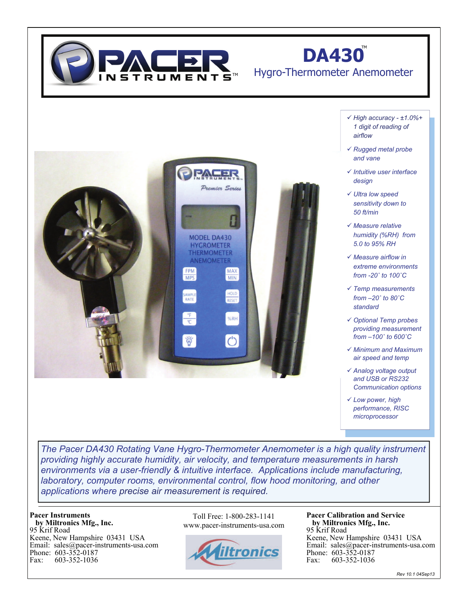

## **DA430**

### Hygro-Thermometer Anemometer

- *High accuracy ±1.0%+ 1 digit of reading of airflow*
- *Rugged metal probe and vane*
- *Intuitive user interface design*
- *Ultra low speed sensitivity down to 50 ft/min*
- *Measure relative humidity (%RH) from 5.0 to 95% RH*
- *Measure airflow in extreme environments from -20˚ to 100˚C*
- *Temp measurements from –20˚ to 80˚C standard*
- *Optional Temp probes providing measurement from –100˚ to 600˚C*
- *Minimum and Maximum air speed and temp*
- *Analog voltage output and USB or RS232 Communication options*
- *Low power, high performance, RISC microprocessor*

*The Pacer DA430 Rotating Vane Hygro-Thermometer Anemometer is a high quality instrument providing highly accurate humidity, air velocity, and temperature measurements in harsh environments via a user-friendly & intuitive interface. Applications include manufacturing, laboratory, computer rooms, environmental control, flow hood monitoring, and other applications where precise air measurement is required.*

Premier Series

MAX

MIN

%RH

**MODEL DA430 HYGROMETER THERMOMETER ANEMOMETER** 

FPM **MPS** 

#### **Pacer Instruments by Miltronics Mfg., Inc.**

95 Krif Road Keene, New Hampshire 03431 USA Email: sales@pacer-instruments-usa.com Phone: 603-352-0187<br>Fax: 603-352-1036 Fax: 603-352-1036

Toll Free: 1-800-283-1141 www.pacer-instruments-usa.com



**Pacer Calibration and Service by Miltronics Mfg., Inc.** 95 Krif Road Keene, New Hampshire 03431 USA Email: sales@pacer-instruments-usa.com Phone: 603-352-0187<br>Fax: 603-352-1036 Fax: 603-352-1036

*Rev 10.1 04Sep13*